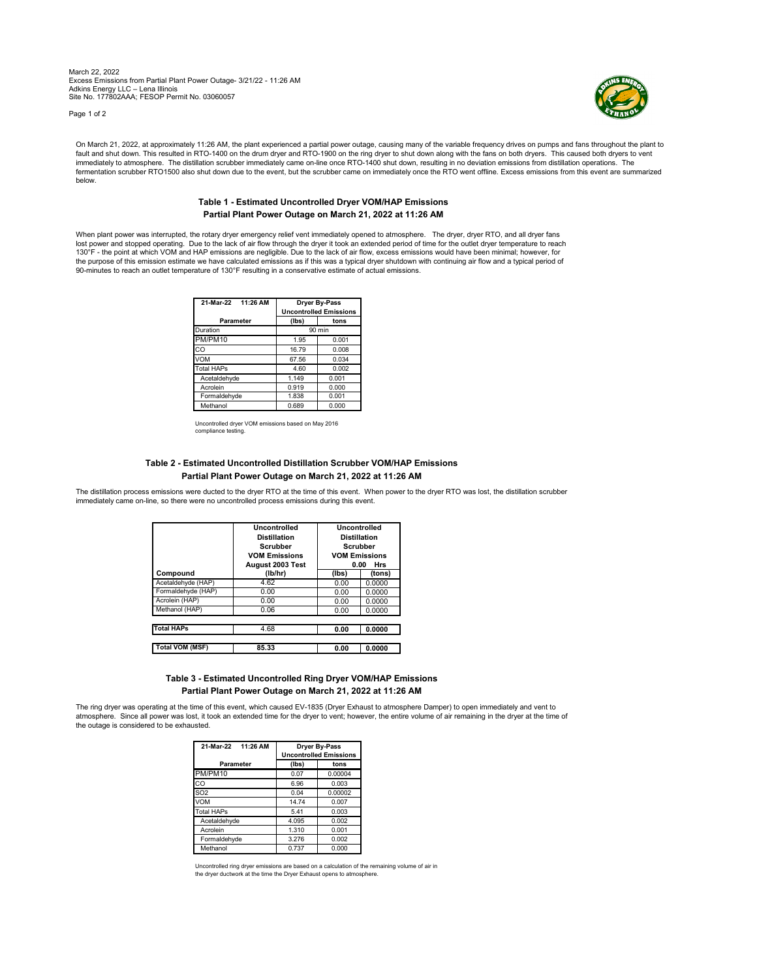March 22, 2022 Excess Emissions from Partial Plant Power Outage- 3/21/22 - 11:26 AM Adkins Energy LLC – Lena Illinois Site No. 177802AAA; FESOP Permit No. 03060057

Page 1 of 2



On March 21, 2022, at approximately 11:26 AM, the plant experienced a partial power outage, causing many of the variable frequency drives on pumps and fans throughout the plant to tault and shut down. This resulted in RTO-1400 on the drum dryer and RTO-1900 on the ring dryer to shut down along with the fans on both dryers. This caused both dryers to vent<br>immediately to atmosphere. The distillation s fermentation scrubber RTO1500 also shut down due to the event, but the scrubber came on immediately once the RTO went offline. Excess emissions from this event are summarized below.

## **Table 1 - Estimated Uncontrolled Dryer VOM/HAP Emissions Partial Plant Power Outage on March 21, 2022 at 11:26 AM**

When plant power was interrupted, the rotary dryer emergency relief vent immediately opened to atmosphere. The dryer, dryer RTO, and all dryer fans lost power and stopped operating. Due to the lack of air flow through the dryer it took an extended period of time for the outlet dryer temperature to reach<br>130°F - the point at which VOM and HAP emissions are negligible. the purpose of this emission estimate we have calculated emissions as if this was a typical dryer shutdown with continuing air flow and a typical period of 90-minutes to reach an outlet temperature of 130°F resulting in a conservative estimate of actual emissions.

| 21-Mar-22 11:26 AM | Dryer By-Pass<br><b>Uncontrolled Emissions</b> |       |  |
|--------------------|------------------------------------------------|-------|--|
| Parameter          | (Ibs)                                          | tons  |  |
| Duration           | 90 min                                         |       |  |
| PM/PM10            | 1.95                                           | 0.001 |  |
| CO                 | 16.79                                          | 0.008 |  |
| <b>VOM</b>         | 67.56                                          | 0.034 |  |
| Total HAPs         | 4.60                                           | 0.002 |  |
| Acetaldehyde       | 1.149                                          | 0.001 |  |
| Acrolein           | 0.919                                          | 0.000 |  |
| Formaldehyde       | 1.838                                          | 0.001 |  |
| Methanol           | 0.689                                          | 0.000 |  |

Uncontrolled dryer VOM emissions based on May 2016 compliance testing.

## **Table 2 - Estimated Uncontrolled Distillation Scrubber VOM/HAP Emissions Partial Plant Power Outage on March 21, 2022 at 11:26 AM**

The distillation process emissions were ducted to the dryer RTO at the time of this event. When power to the dryer RTO was lost, the distillation scrubber immediately came on-line, so there were no uncontrolled process emissions during this event.

|                        | Uncontrolled<br><b>Distillation</b><br><b>Scrubber</b><br><b>VOM Emissions</b><br>August 2003 Test | Uncontrolled<br><b>Distillation</b><br><b>Scrubber</b><br><b>VOM Emissions</b><br>0.00<br>Hrs |        |
|------------------------|----------------------------------------------------------------------------------------------------|-----------------------------------------------------------------------------------------------|--------|
| Compound               | (lb/hr)                                                                                            | (lbs)                                                                                         | (tons) |
| Acetaldehyde (HAP)     | 4.62                                                                                               | 0.00                                                                                          | 0.0000 |
| Formaldehyde (HAP)     | 0.00                                                                                               | 0.00                                                                                          | 0.0000 |
| Acrolein (HAP)         | 0.00                                                                                               | 0.00                                                                                          | 0.0000 |
| Methanol (HAP)         | 0.06                                                                                               | 0.00                                                                                          | 0.0000 |
|                        |                                                                                                    |                                                                                               |        |
| <b>Total HAPs</b>      | 4.68                                                                                               | 0.00                                                                                          | 0.0000 |
| <b>Total VOM (MSF)</b> | 85.33                                                                                              | 0.00                                                                                          | 0.0000 |

## **Table 3 - Estimated Uncontrolled Ring Dryer VOM/HAP Emissions Partial Plant Power Outage on March 21, 2022 at 11:26 AM**

The ring dryer was operating at the time of this event, which caused EV-1835 (Dryer Exhaust to atmosphere Damper) to open immediately and vent to atmosphere. Since all power was lost, it took an extended time for the dryer to vent; however, the entire volume of air remaining in the dryer at the time of the outage is considered to be exhausted.

| 21-Mar-22<br>11:26 AM | Dryer By-Pass<br><b>Uncontrolled Emissions</b> |         |  |
|-----------------------|------------------------------------------------|---------|--|
| Parameter             | (lbs)                                          | tons    |  |
| PM/PM10               | 0.07                                           | 0.00004 |  |
| CO                    | 6.96                                           | 0.003   |  |
| SO <sub>2</sub>       | 0.04                                           | 0.00002 |  |
| <b>VOM</b>            | 14.74                                          | 0.007   |  |
| <b>Total HAPs</b>     | 5.41                                           | 0.003   |  |
| Acetaldehyde          | 4.095                                          | 0.002   |  |
| Acrolein              | 1.310                                          | 0.001   |  |
| Formaldehyde          | 3.276                                          | 0.002   |  |
| Methanol              | 0.737                                          | 0.000   |  |

Uncontrolled ring dryer emissions are based on a calculation of the remaining volume of air in<br>the dryer ductwork at the time the Dryer Exhaust opens to atmosphere. the dry and the dryer ducture the distribution of the time the Dryer Exhaust opens to atmosphere.